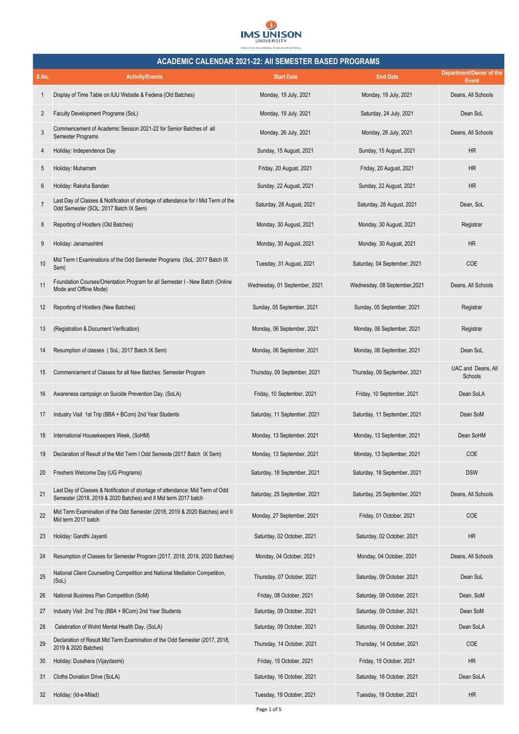

|                | <b>ACADEMIC CALENDAR 2021-22: AII SEMESTER BASED PROGRAMS</b>                                                                                    |                               |                               |                                  |  |  |
|----------------|--------------------------------------------------------------------------------------------------------------------------------------------------|-------------------------------|-------------------------------|----------------------------------|--|--|
| S.No.          | <b>Activity/Events</b>                                                                                                                           | <b>Start Date</b>             | <b>End Date</b>               | Department/Owner of the<br>Event |  |  |
| 1              | Display of Time Table on IUU Website & Fedena (Old Batches)                                                                                      | Monday, 19 July, 2021         | Monday, 19 July, 2021         | Deans, All Schools               |  |  |
| 2              | Faculty Development Programe (SoL)                                                                                                               | Monday, 19 July, 2021         | Saturday, 24 July, 2021       | Dean SoL                         |  |  |
| 3              | Commencement of Academic Session 2021-22 for Senior Batches of all<br>Semester Programs                                                          | Monday, 26 July, 2021         | Monday, 26 July, 2021         | Deans, All Schools               |  |  |
| 4              | Holiday: Independence Day                                                                                                                        | Sunday, 15 August, 2021       | Sunday, 15 August, 2021       | <b>HR</b>                        |  |  |
| 5              | Holiday: Muharram                                                                                                                                | Friday, 20 August, 2021       | Friday, 20 August, 2021       | <b>HR</b>                        |  |  |
| 6              | Holiday: Raksha Bandan                                                                                                                           | Sunday, 22 August, 2021       | Sunday, 22 August, 2021       | <b>HR</b>                        |  |  |
| $\overline{7}$ | Last Day of Classes & Notification of shortage of attendance for I Mid Term of the<br>Odd Semester (SOL: 2017 Batch IX Sem)                      | Saturday, 28 August, 2021     | Saturday, 28 August, 2021     | Dean, SoL                        |  |  |
| 8              | Reporting of Hostlers (Old Batches)                                                                                                              | Monday, 30 August, 2021       | Monday, 30 August, 2021       | Registrar                        |  |  |
| 9              | Holiday: Janamashtmi                                                                                                                             | Monday, 30 August, 2021       | Monday, 30 August, 2021       | <b>HR</b>                        |  |  |
| 10             | Mid Term I Examinations of the Odd Semester Programs (SoL: 2017 Batch IX<br>Sem)                                                                 | Tuesday, 31 August, 2021      | Saturday, 04 September, 2021  | <b>COE</b>                       |  |  |
| 11             | Foundation Courses/Orientation Program for all Semester I - New Batch (Online<br>Mode and Offline Mode)                                          | Wednesday, 01 September, 2021 | Wednesday, 08 September, 2021 | Deans, All Schools               |  |  |
| 12             | Reporting of Hostlers (New Batches)                                                                                                              | Sunday, 05 September, 2021    | Sunday, 05 September, 2021    | Registrar                        |  |  |
| 13             | (Registration & Document Verification)                                                                                                           | Monday, 06 September, 2021    | Monday, 06 September, 2021    | Registrar                        |  |  |
| 14             | Resumption of classes (SoL: 2017 Batch IX Sem)                                                                                                   | Monday, 06 September, 2021    | Monday, 06 September, 2021    | Dean SoL                         |  |  |
| 15             | Commencement of Classes for all New Batches: Semester Program                                                                                    | Thursday, 09 September, 2021  | Thursday, 09 September, 2021  | UAC and Deans, All<br>Schools    |  |  |
| 16             | Awareness campaign on Suicide Prevention Day, (SoLA)                                                                                             | Friday, 10 September, 2021    | Friday, 10 September, 2021    | Dean SoLA                        |  |  |
| 17             | Industry Visit 1st Trip (BBA + BCom) 2nd Year Students                                                                                           | Saturday, 11 September, 2021  | Saturday, 11 September, 2021  | Dean SoM                         |  |  |
| 18             | International Housekeepers Week, (SoHM)                                                                                                          | Monday, 13 September, 2021    | Monday, 13 September, 2021    | Dean SoHM                        |  |  |
| 19             | Declaration of Result of the Mid Term I Odd Semeste (2017 Batch IX Sem)                                                                          | Monday, 13 September, 2021    | Monday, 13 September, 2021    | COE                              |  |  |
| 20             | Freshers Welcome Day (UG Programs)                                                                                                               | Saturday, 18 September, 2021  | Saturday, 18 September, 2021  | <b>DSW</b>                       |  |  |
| 21             | Last Day of Classes & Notification of shortage of attendance: Mid Term of Odd<br>Semester (2018, 2019 & 2020 Batches) and II Mid term 2017 batch | Saturday, 25 September, 2021  | Saturday, 25 September, 2021  | Deans, All Schools               |  |  |
| 22             | Mid Term Examination of the Odd Semester (2018, 2019 & 2020 Batches) and II<br>Mid term 2017 batch                                               | Monday, 27 September, 2021    | Friday, 01 October, 2021      | <b>COE</b>                       |  |  |
| 23             | Holiday: Gandhi Jayanti                                                                                                                          | Saturday, 02 October, 2021    | Saturday, 02 October, 2021    | <b>HR</b>                        |  |  |
| 24             | Resumption of Classes for Semester Program (2017, 2018, 2019, 2020 Batches)                                                                      | Monday, 04 October, 2021      | Monday, 04 October, 2021      | Deans, All Schools               |  |  |
| 25             | National Client Counselling Competition and National Mediation Competition,<br>(SoL)                                                             | Thursday, 07 October, 2021    | Saturday, 09 October, 2021    | Dean SoL                         |  |  |
| 26             | National Business Plan Competition (SoM)                                                                                                         | Friday, 08 October, 2021      | Saturday, 09 October, 2021    | Dean, SoM                        |  |  |
| 27             | Industry Visit 2nd Trip (BBA + BCom) 2nd Year Students                                                                                           | Saturday, 09 October, 2021    | Saturday, 09 October, 2021    | Dean SoM                         |  |  |
| 28             | Celebration of Wolrd Mental Health Day, (SoLA)                                                                                                   | Saturday, 09 October, 2021    | Saturday, 09 October, 2021    | Dean SoLA                        |  |  |
| 29             | Declaration of Result Mid Term Examination of the Odd Semester (2017, 2018,<br>2019 & 2020 Batches)                                              | Thursday, 14 October, 2021    | Thursday, 14 October, 2021    | COE                              |  |  |
| 30             | Holiday: Dusshera (Vijaydasmi)                                                                                                                   | Friday, 15 October, 2021      | Friday, 15 October, 2021      | <b>HR</b>                        |  |  |
| 31             | Cloths Donation Drive (SoLA)                                                                                                                     | Saturday, 16 October, 2021    | Saturday, 16 October, 2021    | Dean SoLA                        |  |  |
| 32             | Holiday: (Id-e-Milad)                                                                                                                            | Tuesday, 19 October, 2021     | Tuesday, 19 October, 2021     | HR                               |  |  |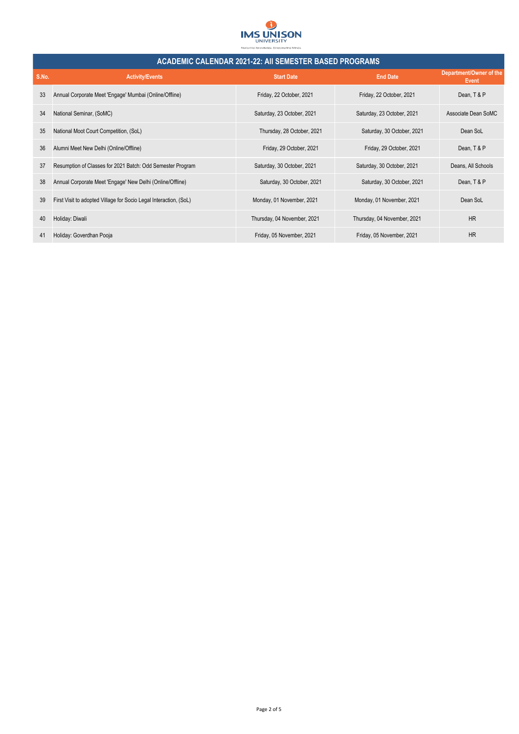

| <b>ACADEMIC CALENDAR 2021-22: AII SEMESTER BASED PROGRAMS</b> |                                                                   |                             |                             |                                  |
|---------------------------------------------------------------|-------------------------------------------------------------------|-----------------------------|-----------------------------|----------------------------------|
| S.No.                                                         | <b>Activity/Events</b>                                            | <b>Start Date</b>           | <b>End Date</b>             | Department/Owner of the<br>Event |
| 33                                                            | Annual Corporate Meet 'Engage' Mumbai (Online/Offline)            | Friday, 22 October, 2021    | Friday, 22 October, 2021    | Dean, T & P                      |
| 34                                                            | National Seminar, (SoMC)                                          | Saturday, 23 October, 2021  | Saturday, 23 October, 2021  | Associate Dean SoMC              |
| 35                                                            | National Moot Court Competition, (SoL)                            | Thursday, 28 October, 2021  | Saturday, 30 October, 2021  | Dean SoL                         |
| 36                                                            | Alumni Meet New Delhi (Online/Offline)                            | Friday, 29 October, 2021    | Friday, 29 October, 2021    | Dean, T & P                      |
| 37                                                            | Resumption of Classes for 2021 Batch: Odd Semester Program        | Saturday, 30 October, 2021  | Saturday, 30 October, 2021  | Deans, All Schools               |
| 38                                                            | Annual Corporate Meet 'Engage' New Delhi (Online/Offline)         | Saturday, 30 October, 2021  | Saturday, 30 October, 2021  | Dean, T & P                      |
| 39                                                            | First Visit to adopted Village for Socio Legal Interaction, (SoL) | Monday, 01 November, 2021   | Monday, 01 November, 2021   | Dean SoL                         |
| 40                                                            | Holiday: Diwali                                                   | Thursday, 04 November, 2021 | Thursday, 04 November, 2021 | <b>HR</b>                        |
| 41                                                            | Holiday: Goverdhan Pooja                                          | Friday, 05 November, 2021   | Friday, 05 November, 2021   | <b>HR</b>                        |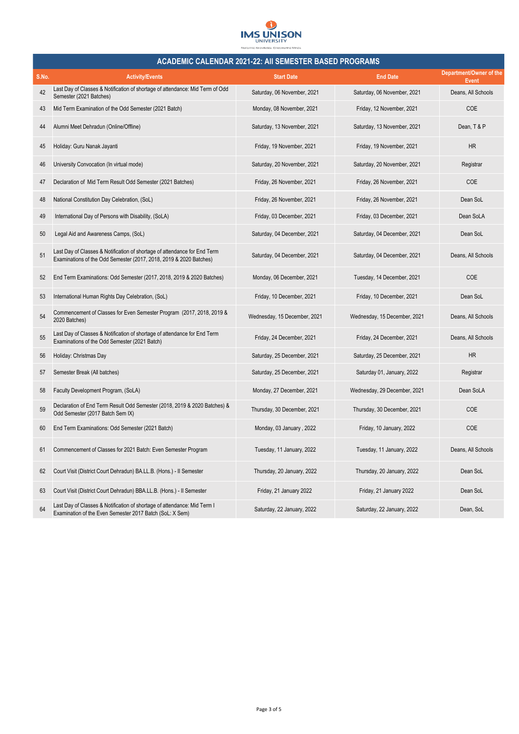

|       | <b>ACADEMIC CALENDAR 2021-22: AII SEMESTER BASED PROGRAMS</b>                                                                                   |                              |                              |                                         |  |  |
|-------|-------------------------------------------------------------------------------------------------------------------------------------------------|------------------------------|------------------------------|-----------------------------------------|--|--|
| S.No. | <b>Activity/Events</b>                                                                                                                          | <b>Start Date</b>            | <b>End Date</b>              | Department/Owner of the<br><b>Event</b> |  |  |
| 42    | Last Day of Classes & Notification of shortage of attendance: Mid Term of Odd<br>Semester (2021 Batches)                                        | Saturday, 06 November, 2021  | Saturday, 06 November, 2021  | Deans, All Schools                      |  |  |
| 43    | Mid Term Examination of the Odd Semester (2021 Batch)                                                                                           | Monday, 08 November, 2021    | Friday, 12 November, 2021    | <b>COE</b>                              |  |  |
| 44    | Alumni Meet Dehradun (Online/Offline)                                                                                                           | Saturday, 13 November, 2021  | Saturday, 13 November, 2021  | Dean, T & P                             |  |  |
| 45    | Holiday: Guru Nanak Jayanti                                                                                                                     | Friday, 19 November, 2021    | Friday, 19 November, 2021    | HR                                      |  |  |
| 46    | University Convocation (In virtual mode)                                                                                                        | Saturday, 20 November, 2021  | Saturday, 20 November, 2021  | Registrar                               |  |  |
| 47    | Declaration of Mid Term Result Odd Semester (2021 Batches)                                                                                      | Friday, 26 November, 2021    | Friday, 26 November, 2021    | <b>COE</b>                              |  |  |
| 48    | National Constitution Day Celebration, (SoL)                                                                                                    | Friday, 26 November, 2021    | Friday, 26 November, 2021    | Dean SoL                                |  |  |
| 49    | International Day of Persons with Disability, (SoLA)                                                                                            | Friday, 03 December, 2021    | Friday, 03 December, 2021    | Dean SoLA                               |  |  |
| 50    | Legal Aid and Awareness Camps, (SoL)                                                                                                            | Saturday, 04 December, 2021  | Saturday, 04 December, 2021  | Dean SoL                                |  |  |
| 51    | Last Day of Classes & Notification of shortage of attendance for End Term<br>Examinations of the Odd Semester (2017, 2018, 2019 & 2020 Batches) | Saturday, 04 December, 2021  | Saturday, 04 December, 2021  | Deans, All Schools                      |  |  |
| 52    | End Term Examinations: Odd Semester (2017, 2018, 2019 & 2020 Batches)                                                                           | Monday, 06 December, 2021    | Tuesday, 14 December, 2021   | COE                                     |  |  |
| 53    | International Human Rights Day Celebration, (SoL)                                                                                               | Friday, 10 December, 2021    | Friday, 10 December, 2021    | Dean SoL                                |  |  |
| 54    | Commencement of Classes for Even Semester Program (2017, 2018, 2019 &<br>2020 Batches)                                                          | Wednesday, 15 December, 2021 | Wednesday, 15 December, 2021 | Deans, All Schools                      |  |  |
| 55    | Last Day of Classes & Notification of shortage of attendance for End Term<br>Examinations of the Odd Semester (2021 Batch)                      | Friday, 24 December, 2021    | Friday, 24 December, 2021    | Deans, All Schools                      |  |  |
| 56    | Holiday: Christmas Day                                                                                                                          | Saturday, 25 December, 2021  | Saturday, 25 December, 2021  | <b>HR</b>                               |  |  |
| 57    | Semester Break (All batches)                                                                                                                    | Saturday, 25 December, 2021  | Saturday 01, January, 2022   | Registrar                               |  |  |
| 58    | Faculty Development Program, (SoLA)                                                                                                             | Monday, 27 December, 2021    | Wednesday, 29 December, 2021 | Dean SoLA                               |  |  |
| 59    | Declaration of End Term Result Odd Semester (2018, 2019 & 2020 Batches) &<br>Odd Semester (2017 Batch Sem IX)                                   | Thursday, 30 December, 2021  | Thursday, 30 December, 2021  | COE                                     |  |  |
| 60    | End Term Examinations: Odd Semester (2021 Batch)                                                                                                | Monday, 03 January, 2022     | Friday, 10 January, 2022     | COE                                     |  |  |
| 61    | Commencement of Classes for 2021 Batch: Even Semester Program                                                                                   | Tuesday, 11 January, 2022    | Tuesday, 11 January, 2022    | Deans, All Schools                      |  |  |
| 62    | Court Visit (District Court Dehradun) BA.LL.B. (Hons.) - Il Semester                                                                            | Thursday, 20 January, 2022   | Thursday, 20 January, 2022   | Dean SoL                                |  |  |
| 63    | Court Visit (District Court Dehradun) BBA.LL.B. (Hons.) - Il Semester                                                                           | Friday, 21 January 2022      | Friday, 21 January 2022      | Dean SoL                                |  |  |
| 64    | Last Day of Classes & Notification of shortage of attendance: Mid Term I<br>Examination of the Even Semester 2017 Batch (SoL: X Sem)            | Saturday, 22 January, 2022   | Saturday, 22 January, 2022   | Dean, SoL                               |  |  |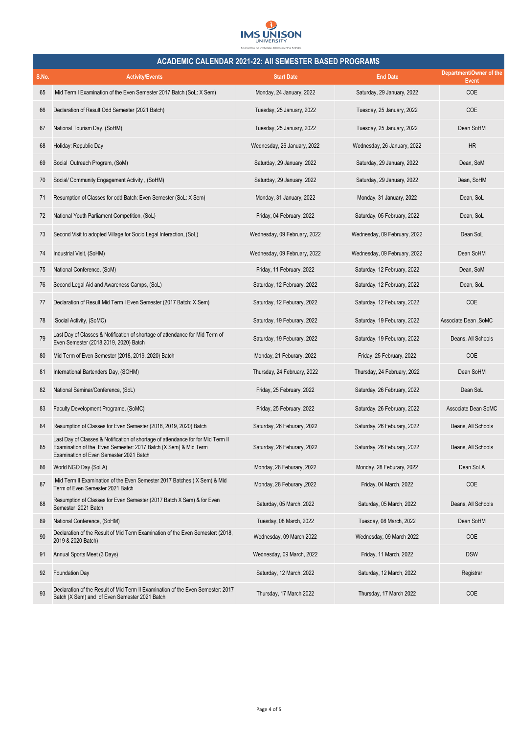

|       | <b>ACADEMIC CALENDAR 2021-22: AII SEMESTER BASED PROGRAMS</b>                                                                                                                                  |                              |                              |                                         |  |
|-------|------------------------------------------------------------------------------------------------------------------------------------------------------------------------------------------------|------------------------------|------------------------------|-----------------------------------------|--|
| S.No. | <b>Activity/Events</b>                                                                                                                                                                         | <b>Start Date</b>            | <b>End Date</b>              | Department/Owner of the<br><b>Event</b> |  |
| 65    | Mid Term I Examination of the Even Semester 2017 Batch (SoL: X Sem)                                                                                                                            | Monday, 24 January, 2022     | Saturday, 29 January, 2022   | COE                                     |  |
| 66    | Declaration of Result Odd Semester (2021 Batch)                                                                                                                                                | Tuesday, 25 January, 2022    | Tuesday, 25 January, 2022    | <b>COE</b>                              |  |
| 67    | National Tourism Day, (SoHM)                                                                                                                                                                   | Tuesday, 25 January, 2022    | Tuesday, 25 January, 2022    | Dean SoHM                               |  |
| 68    | Holiday: Republic Day                                                                                                                                                                          | Wednesday, 26 January, 2022  | Wednesday, 26 January, 2022  | HR                                      |  |
| 69    | Social Outreach Program, (SoM)                                                                                                                                                                 | Saturday, 29 January, 2022   | Saturday, 29 January, 2022   | Dean, SoM                               |  |
| 70    | Social/ Community Engagement Activity, (SoHM)                                                                                                                                                  | Saturday, 29 January, 2022   | Saturday, 29 January, 2022   | Dean, SoHM                              |  |
| 71    | Resumption of Classes for odd Batch: Even Semester (SoL: X Sem)                                                                                                                                | Monday, 31 January, 2022     | Monday, 31 January, 2022     | Dean, SoL                               |  |
| 72    | National Youth Parliament Competition, (SoL)                                                                                                                                                   | Friday, 04 February, 2022    | Saturday, 05 February, 2022  | Dean, SoL                               |  |
| 73    | Second Visit to adopted Village for Socio Legal Interaction, (SoL)                                                                                                                             | Wednesday, 09 February, 2022 | Wednesday, 09 February, 2022 | Dean SoL                                |  |
| 74    | Industrial Visit, (SoHM)                                                                                                                                                                       | Wednesday, 09 February, 2022 | Wednesday, 09 February, 2022 | Dean SoHM                               |  |
| 75    | National Conference, (SoM)                                                                                                                                                                     | Friday, 11 February, 2022    | Saturday, 12 February, 2022  | Dean, SoM                               |  |
| 76    | Second Legal Aid and Awareness Camps, (SoL)                                                                                                                                                    | Saturday, 12 February, 2022  | Saturday, 12 February, 2022  | Dean, SoL                               |  |
| 77    | Declaration of Result Mid Term I Even Semester (2017 Batch: X Sem)                                                                                                                             | Saturday, 12 Feburary, 2022  | Saturday, 12 Feburary, 2022  | COE                                     |  |
| 78    | Social Activity, (SoMC)                                                                                                                                                                        | Saturday, 19 Feburary, 2022  | Saturday, 19 Feburary, 2022  | Associate Dean, SoMC                    |  |
| 79    | Last Day of Classes & Notification of shortage of attendance for Mid Term of<br>Even Semester (2018,2019, 2020) Batch                                                                          | Saturday, 19 Feburary, 2022  | Saturday, 19 Feburary, 2022  | Deans, All Schools                      |  |
| 80    | Mid Term of Even Semester (2018, 2019, 2020) Batch                                                                                                                                             | Monday, 21 Feburary, 2022    | Friday, 25 February, 2022    | COE                                     |  |
| 81    | International Bartenders Day, (SOHM)                                                                                                                                                           | Thursday, 24 February, 2022  | Thursday, 24 February, 2022  | Dean SoHM                               |  |
| 82    | National Seminar/Conference, (SoL)                                                                                                                                                             | Friday, 25 February, 2022    | Saturday, 26 February, 2022  | Dean SoL                                |  |
| 83    | Faculty Development Programe, (SoMC)                                                                                                                                                           | Friday, 25 February, 2022    | Saturday, 26 February, 2022  | Associate Dean SoMC                     |  |
| 84    | Resumption of Classes for Even Semester (2018, 2019, 2020) Batch                                                                                                                               | Saturday, 26 Feburary, 2022  | Saturday, 26 Feburary, 2022  | Deans, All Schools                      |  |
|       | Last Day of Classes & Notification of shortage of attendance for for Mid Term II<br>Examination of the Even Semester: 2017 Batch (X Sem) & Mid Term<br>Examination of Even Semester 2021 Batch | Saturday, 26 Feburary, 2022  | Saturday, 26 Feburary, 2022  | Deans, All Schools                      |  |
| 86    | World NGO Day (SoLA)                                                                                                                                                                           | Monday, 28 Feburary, 2022    | Monday, 28 Feburary, 2022    | Dean SoLA                               |  |
| 87    | Mid Term II Examination of the Even Semester 2017 Batches (X Sem) & Mid<br>Term of Even Semester 2021 Batch                                                                                    | Monday, 28 Feburary, 2022    | Friday, 04 March, 2022       | COE                                     |  |
| 88    | Resumption of Classes for Even Semester (2017 Batch X Sem) & for Even<br>Semester 2021 Batch                                                                                                   | Saturday, 05 March, 2022     | Saturday, 05 March, 2022     | Deans, All Schools                      |  |
| 89    | National Conference, (SoHM)                                                                                                                                                                    | Tuesday, 08 March, 2022      | Tuesday, 08 March, 2022      | Dean SoHM                               |  |
| 90    | Declaration of the Result of Mid Term Examination of the Even Semester: (2018,<br>2019 & 2020 Batch)                                                                                           | Wednesday, 09 March 2022     | Wednesday, 09 March 2022     | COE                                     |  |
| 91    | Annual Sports Meet (3 Days)                                                                                                                                                                    | Wednesday, 09 March, 2022    | Friday, 11 March, 2022       | <b>DSW</b>                              |  |
| 92    | <b>Foundation Day</b>                                                                                                                                                                          | Saturday, 12 March, 2022     | Saturday, 12 March, 2022     | Registrar                               |  |
| 93    | Declaration of the Result of Mid Term II Examination of the Even Semester: 2017<br>Batch (X Sem) and of Even Semester 2021 Batch                                                               | Thursday, 17 March 2022      | Thursday, 17 March 2022      | COE                                     |  |